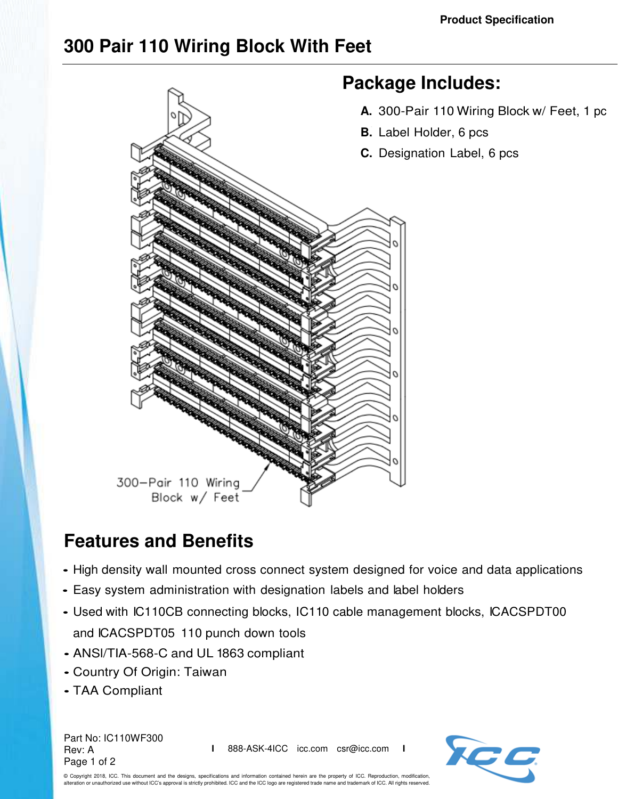## **300 Pair 110 Wiring Block With Feet**



## **Features and Benefits**

- High density wall mounted cross connect system designed for voice and data applications
- Easy system administration with designation labels and label holders
- Used with IC110CB connecting blocks, IC110 cable management blocks, ICACSPDT00 and ICACSPDT05 110 punch down tools
- ANSl/TIA-568-C and UL 1863 compliant
- Country Of Origin: Taiwan
- TAA Compliant

Part No: IC110WF300 Rev: A Page 1 of 2

**I** 888-ASK-4ICC icc.com csr@icc.com **I**



© Copyright 2018, ICC. This document and the designs, specifications and information contained herein are the property of ICC. Reproduction, modification, alteration or unauthorized use without ICC's approval is strictly prohibited. ICC and the ICC logo are registered trade name and trademark of ICC. All rights reserved.